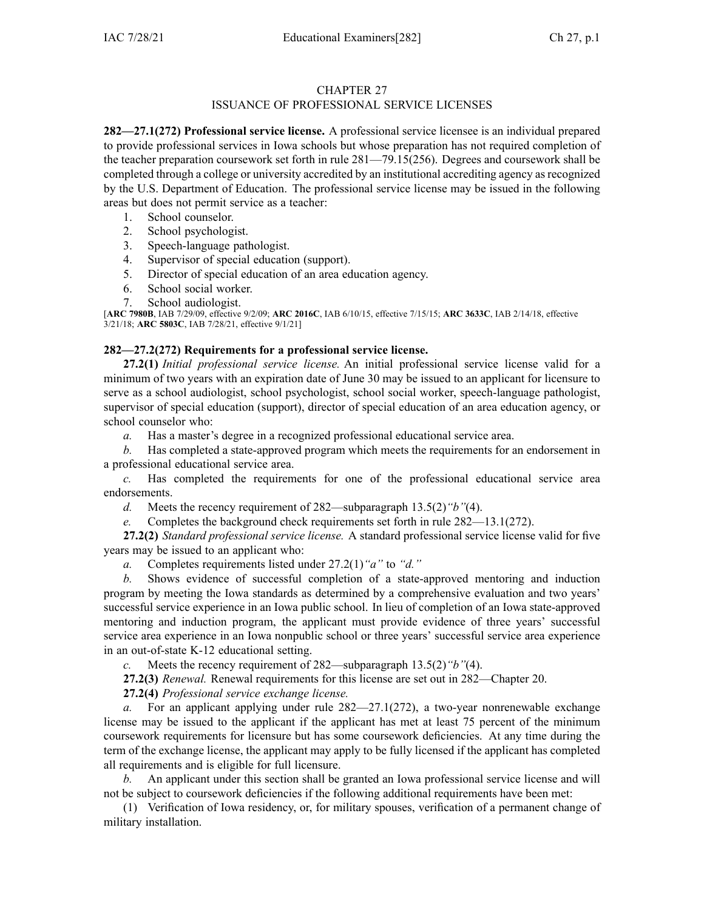### CHAPTER 27 ISSUANCE OF PROFESSIONAL SERVICE LICENSES

**282—27.1(272) Professional service license.** A professional service licensee is an individual prepared to provide professional services in Iowa schools but whose preparation has not required completion of the teacher preparation coursework set forth in rule [281—79.15](https://www.legis.iowa.gov/docs/iac/rule/281.79.15.pdf)(256). Degrees and coursework shall be completed through <sup>a</sup> college or university accredited by an institutional accrediting agency asrecognized by the U.S. Department of Education. The professional service license may be issued in the following areas but does not permit service as <sup>a</sup> teacher:

- 1. School counselor.
- 2. School psychologist.
- 3. Speech-language pathologist.
- 4. Supervisor of special education (support).
- 5. Director of special education of an area education agency.
- 6. School social worker.
- 7. School audiologist.

[**ARC [7980B](https://www.legis.iowa.gov/docs/aco/arc/7980B.pdf)**, IAB 7/29/09, effective 9/2/09; **ARC [2016C](https://www.legis.iowa.gov/docs/aco/arc/2016C.pdf)**, IAB 6/10/15, effective 7/15/15; **ARC [3633C](https://www.legis.iowa.gov/docs/aco/arc/3633C.pdf)**, IAB 2/14/18, effective 3/21/18; **ARC [5803C](https://www.legis.iowa.gov/docs/aco/arc/5803C.pdf)**, IAB 7/28/21, effective 9/1/21]

### **282—27.2(272) Requirements for <sup>a</sup> professional service license.**

**27.2(1)** *Initial professional service license.* An initial professional service license valid for <sup>a</sup> minimum of two years with an expiration date of June 30 may be issued to an applicant for licensure to serve as <sup>a</sup> school audiologist, school psychologist, school social worker, speech-language pathologist, supervisor of special education (support), director of special education of an area education agency, or school counselor who:

*a.* Has <sup>a</sup> master's degree in <sup>a</sup> recognized professional educational service area.

*b.* Has completed <sup>a</sup> state-approved program which meets the requirements for an endorsement in <sup>a</sup> professional educational service area.

*c.* Has completed the requirements for one of the professional educational service area endorsements.

- *d.* Meets the recency requirement of [282—subparagraph](https://www.legis.iowa.gov/docs/iac/rule/282.13.5.pdf) 13.5(2)*"b"*(4).
- *e.* Completes the background check requirements set forth in rule [282—13.1](https://www.legis.iowa.gov/docs/iac/rule/282.13.1.pdf)(272).

**27.2(2)** *Standard professional service license.* A standard professional service license valid for five years may be issued to an applicant who:

*a.* Completes requirements listed under [27.2\(1\)](https://www.legis.iowa.gov/docs/iac/rule/282.27.2.pdf)*"a"* to *"d."*

*b.* Shows evidence of successful completion of <sup>a</sup> state-approved mentoring and induction program by meeting the Iowa standards as determined by <sup>a</sup> comprehensive evaluation and two years' successful service experience in an Iowa public school. In lieu of completion of an Iowa state-approved mentoring and induction program, the applicant must provide evidence of three years' successful service area experience in an Iowa nonpublic school or three years' successful service area experience in an out-of-state K-12 educational setting.

*c.* Meets the recency requirement of [282—subparagraph](https://www.legis.iowa.gov/docs/iac/rule/282.13.5.pdf) 13.5(2)*"b"*(4).

**27.2(3)** *Renewal.* Renewal requirements for this license are set out in [282—Chapter](https://www.legis.iowa.gov/docs/iac/chapter/282.20.pdf) 20.

**27.2(4)** *Professional service exchange license.*

*a.* For an applicant applying under rule [282—27.1](https://www.legis.iowa.gov/docs/iac/rule/282.27.1.pdf)(272), <sup>a</sup> two-year nonrenewable exchange license may be issued to the applicant if the applicant has met at least 75 percen<sup>t</sup> of the minimum coursework requirements for licensure but has some coursework deficiencies. At any time during the term of the exchange license, the applicant may apply to be fully licensed if the applicant has completed all requirements and is eligible for full licensure.

*b.* An applicant under this section shall be granted an Iowa professional service license and will not be subject to coursework deficiencies if the following additional requirements have been met:

(1) Verification of Iowa residency, or, for military spouses, verification of <sup>a</sup> permanen<sup>t</sup> change of military installation.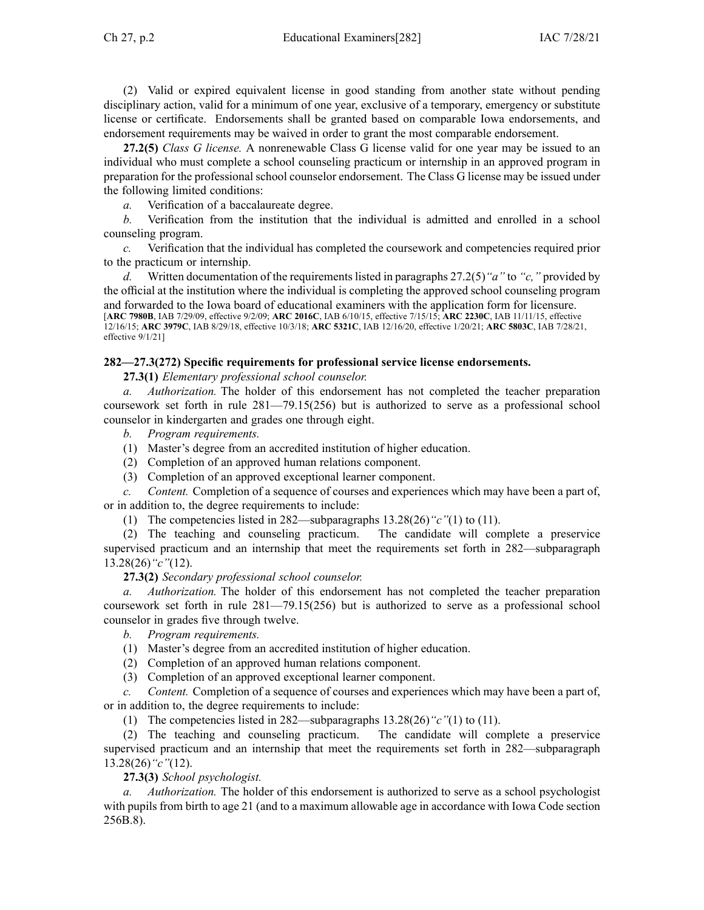(2) Valid or expired equivalent license in good standing from another state without pending disciplinary action, valid for <sup>a</sup> minimum of one year, exclusive of <sup>a</sup> temporary, emergency or substitute license or certificate. Endorsements shall be granted based on comparable Iowa endorsements, and endorsement requirements may be waived in order to gran<sup>t</sup> the most comparable endorsement.

**27.2(5)** *Class G license.* A nonrenewable Class G license valid for one year may be issued to an individual who must complete <sup>a</sup> school counseling practicum or internship in an approved program in preparation for the professional school counselor endorsement. The Class G license may be issued under the following limited conditions:

*a.* Verification of <sup>a</sup> baccalaureate degree.

*b.* Verification from the institution that the individual is admitted and enrolled in <sup>a</sup> school counseling program.

*c.* Verification that the individual has completed the coursework and competencies required prior to the practicum or internship.

*d.* Written documentation of the requirements listed in paragraphs [27.2\(5\)](https://www.legis.iowa.gov/docs/iac/rule/282.27.2.pdf)*"a"* to *"c,"* provided by the official at the institution where the individual is completing the approved school counseling program and forwarded to the Iowa board of educational examiners with the application form for licensure. [**ARC [7980B](https://www.legis.iowa.gov/docs/aco/arc/7980B.pdf)**, IAB 7/29/09, effective 9/2/09; **ARC [2016C](https://www.legis.iowa.gov/docs/aco/arc/2016C.pdf)**, IAB 6/10/15, effective 7/15/15; **ARC [2230C](https://www.legis.iowa.gov/docs/aco/arc/2230C.pdf)**, IAB 11/11/15, effective 12/16/15; **ARC [3979C](https://www.legis.iowa.gov/docs/aco/arc/3979C.pdf)**, IAB 8/29/18, effective 10/3/18; **ARC [5321C](https://www.legis.iowa.gov/docs/aco/arc/5321C.pdf)**, IAB 12/16/20, effective 1/20/21; **ARC [5803C](https://www.legis.iowa.gov/docs/aco/arc/5803C.pdf)**, IAB 7/28/21, effective 9/1/21]

## **282—27.3(272) Specific requirements for professional service license endorsements.**

**27.3(1)** *Elementary professional school counselor.*

*Authorization*. The holder of this endorsement has not completed the teacher preparation coursework set forth in rule [281—79.15](https://www.legis.iowa.gov/docs/iac/rule/281.79.15.pdf)(256) but is authorized to serve as <sup>a</sup> professional school counselor in kindergarten and grades one through eight.

*b. Program requirements.*

- (1) Master's degree from an accredited institution of higher education.
- (2) Completion of an approved human relations component.
- (3) Completion of an approved exceptional learner component.

*c. Content.* Completion of <sup>a</sup> sequence of courses and experiences which may have been <sup>a</sup> par<sup>t</sup> of, or in addition to, the degree requirements to include:

(1) The competencies listed in [282—subparagraphs](https://www.legis.iowa.gov/docs/iac/rule/282.13.28.pdf) 13.28(26)*"c"*(1) to (11).

(2) The teaching and counseling practicum. The candidate will complete <sup>a</sup> preservice supervised practicum and an internship that meet the requirements set forth in [282—subparagraph](https://www.legis.iowa.gov/docs/iac/rule/282.13.28.pdf) [13.28\(26\)](https://www.legis.iowa.gov/docs/iac/rule/282.13.28.pdf)*"c"*(12).

**27.3(2)** *Secondary professional school counselor.*

*a. Authorization.* The holder of this endorsement has not completed the teacher preparation coursework set forth in rule [281—79.15](https://www.legis.iowa.gov/docs/iac/rule/281.79.15.pdf)(256) but is authorized to serve as <sup>a</sup> professional school counselor in grades five through twelve.

*b. Program requirements.*

(1) Master's degree from an accredited institution of higher education.

- (2) Completion of an approved human relations component.
- (3) Completion of an approved exceptional learner component.

*c. Content.* Completion of <sup>a</sup> sequence of courses and experiences which may have been <sup>a</sup> par<sup>t</sup> of, or in addition to, the degree requirements to include:

(1) The competencies listed in [282—subparagraphs](https://www.legis.iowa.gov/docs/iac/rule/282.13.28.pdf) 13.28(26)*"c"*(1) to (11).

(2) The teaching and counseling practicum. The candidate will complete <sup>a</sup> preservice supervised practicum and an internship that meet the requirements set forth in [282—subparagraph](https://www.legis.iowa.gov/docs/iac/rule/282.13.28.pdf) [13.28\(26\)](https://www.legis.iowa.gov/docs/iac/rule/282.13.28.pdf)*"c"*(12).

**27.3(3)** *School psychologist.*

*Authorization.* The holder of this endorsement is authorized to serve as a school psychologist with pupils from birth to age 21 (and to <sup>a</sup> maximum allowable age in accordance with Iowa Code section [256B.8](https://www.legis.iowa.gov/docs/ico/section/256B.8.pdf)).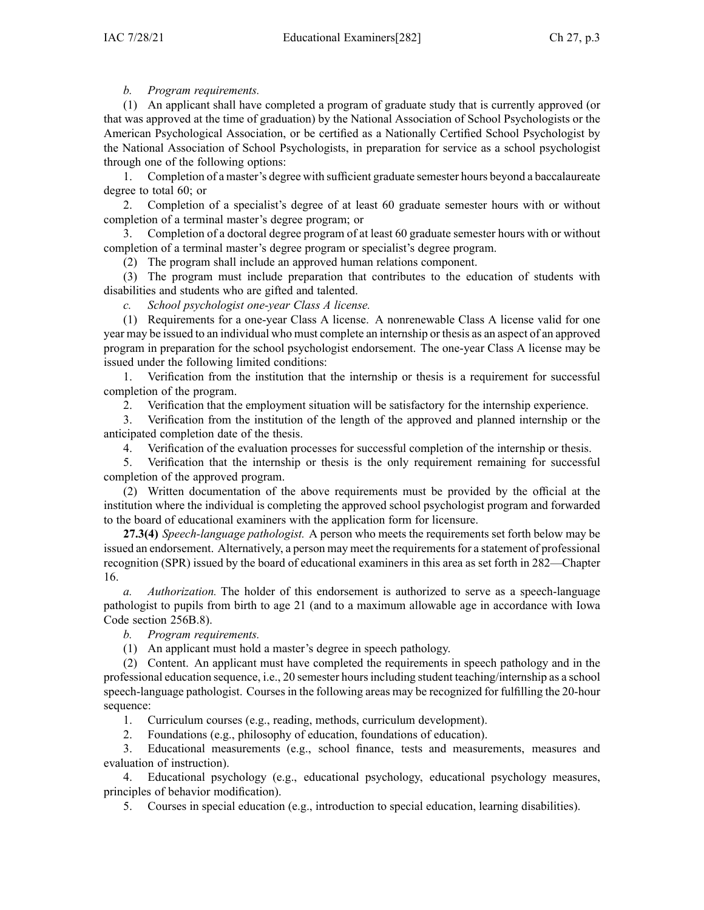# *b. Program requirements.*

(1) An applicant shall have completed <sup>a</sup> program of graduate study that is currently approved (or that was approved at the time of graduation) by the National Association of School Psychologists or the American Psychological Association, or be certified as <sup>a</sup> Nationally Certified School Psychologist by the National Association of School Psychologists, in preparation for service as <sup>a</sup> school psychologist through one of the following options:

1. Completion of <sup>a</sup> master's degree with sufficient graduate semester hours beyond <sup>a</sup> baccalaureate degree to total 60; or

2. Completion of <sup>a</sup> specialist's degree of at least 60 graduate semester hours with or without completion of <sup>a</sup> terminal master's degree program; or

3. Completion of <sup>a</sup> doctoral degree program of at least 60 graduate semester hours with or without completion of <sup>a</sup> terminal master's degree program or specialist's degree program.

(2) The program shall include an approved human relations component.

(3) The program must include preparation that contributes to the education of students with disabilities and students who are gifted and talented.

*c. School psychologist one-year Class A license.*

(1) Requirements for <sup>a</sup> one-year Class A license. A nonrenewable Class A license valid for one year may be issued to an individual who must complete an internship or thesis as an aspec<sup>t</sup> of an approved program in preparation for the school psychologist endorsement. The one-year Class A license may be issued under the following limited conditions:

1. Verification from the institution that the internship or thesis is <sup>a</sup> requirement for successful completion of the program.

2. Verification that the employment situation will be satisfactory for the internship experience.

3. Verification from the institution of the length of the approved and planned internship or the anticipated completion date of the thesis.

4. Verification of the evaluation processes for successful completion of the internship or thesis.

5. Verification that the internship or thesis is the only requirement remaining for successful completion of the approved program.

(2) Written documentation of the above requirements must be provided by the official at the institution where the individual is completing the approved school psychologist program and forwarded to the board of educational examiners with the application form for licensure.

**27.3(4)** *Speech-language pathologist.* A person who meets the requirements set forth below may be issued an endorsement. Alternatively, a person may meet the requirements for a statement of professional recognition (SPR) issued by the board of educational examiners in this area as set forth in [282—Chapter](https://www.legis.iowa.gov/docs/iac/chapter/282.16.pdf) [16](https://www.legis.iowa.gov/docs/iac/chapter/282.16.pdf).

*a. Authorization.* The holder of this endorsement is authorized to serve as <sup>a</sup> speech-language pathologist to pupils from birth to age 21 (and to <sup>a</sup> maximum allowable age in accordance with Iowa Code section [256B.8\)](https://www.legis.iowa.gov/docs/ico/section/256B.8.pdf).

*b. Program requirements.*

(1) An applicant must hold <sup>a</sup> master's degree in speech pathology.

(2) Content. An applicant must have completed the requirements in speech pathology and in the professional education sequence, i.e., 20 semester hoursincluding student teaching/internship as <sup>a</sup> school speech-language pathologist. Courses in the following areas may be recognized for fulfilling the 20-hour sequence:

1. Curriculum courses (e.g., reading, methods, curriculum development).

2. Foundations (e.g., philosophy of education, foundations of education).

3. Educational measurements (e.g., school finance, tests and measurements, measures and evaluation of instruction).

4. Educational psychology (e.g., educational psychology, educational psychology measures, principles of behavior modification).

5. Courses in special education (e.g., introduction to special education, learning disabilities).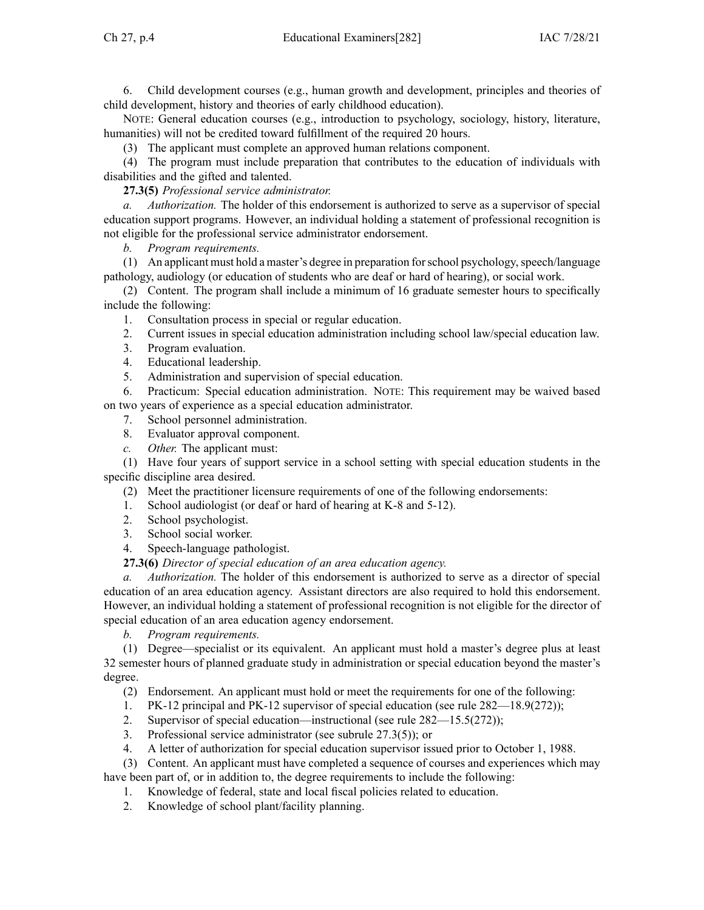6. Child development courses (e.g., human growth and development, principles and theories of child development, history and theories of early childhood education).

NOTE: General education courses (e.g., introduction to psychology, sociology, history, literature, humanities) will not be credited toward fulfillment of the required 20 hours.

(3) The applicant must complete an approved human relations component.

(4) The program must include preparation that contributes to the education of individuals with disabilities and the gifted and talented.

**27.3(5)** *Professional service administrator.*

*a. Authorization.* The holder of this endorsement is authorized to serve as <sup>a</sup> supervisor of special education suppor<sup>t</sup> programs. However, an individual holding <sup>a</sup> statement of professional recognition is not eligible for the professional service administrator endorsement.

*b. Program requirements.*

 $(1)$  An applicant must hold a master's degree in preparation for school psychology, speech/language pathology, audiology (or education of students who are deaf or hard of hearing), or social work.

(2) Content. The program shall include <sup>a</sup> minimum of 16 graduate semester hours to specifically include the following:

1. Consultation process in special or regular education.

- 2. Current issues in special education administration including school law/special education law.
- 3. Program evaluation.
- 4. Educational leadership.
- 5. Administration and supervision of special education.

6. Practicum: Special education administration. NOTE: This requirement may be waived based on two years of experience as <sup>a</sup> special education administrator.

- 7. School personnel administration.
- 8. Evaluator approval component.
- *c. Other.* The applicant must:

(1) Have four years of suppor<sup>t</sup> service in <sup>a</sup> school setting with special education students in the specific discipline area desired.

(2) Meet the practitioner licensure requirements of one of the following endorsements:

- 1. School audiologist (or deaf or hard of hearing at K-8 and 5-12).
- 2. School psychologist.
- 3. School social worker.

4. Speech-language pathologist.

**27.3(6)** *Director of special education of an area education agency.*

*a. Authorization.* The holder of this endorsement is authorized to serve as <sup>a</sup> director of special education of an area education agency. Assistant directors are also required to hold this endorsement. However, an individual holding <sup>a</sup> statement of professional recognition is not eligible for the director of special education of an area education agency endorsement.

*b. Program requirements.*

(1) Degree—specialist or its equivalent. An applicant must hold <sup>a</sup> master's degree plus at least 32 semester hours of planned graduate study in administration or special education beyond the master's degree.

- (2) Endorsement. An applicant must hold or meet the requirements for one of the following:
- 1. PK-12 principal and PK-12 supervisor of special education (see rule 282—18.9(272));
- 2. Supervisor of special education—instructional (see rule 282—15.5(272));
- 3. Professional service administrator (see subrule 27.3(5)); or
- 4. A letter of authorization for special education supervisor issued prior to October 1, 1988.
- (3) Content. An applicant must have completed <sup>a</sup> sequence of courses and experiences which may

have been par<sup>t</sup> of, or in addition to, the degree requirements to include the following: 1. Knowledge of federal, state and local fiscal policies related to education.

2. Knowledge of school plant/facility planning.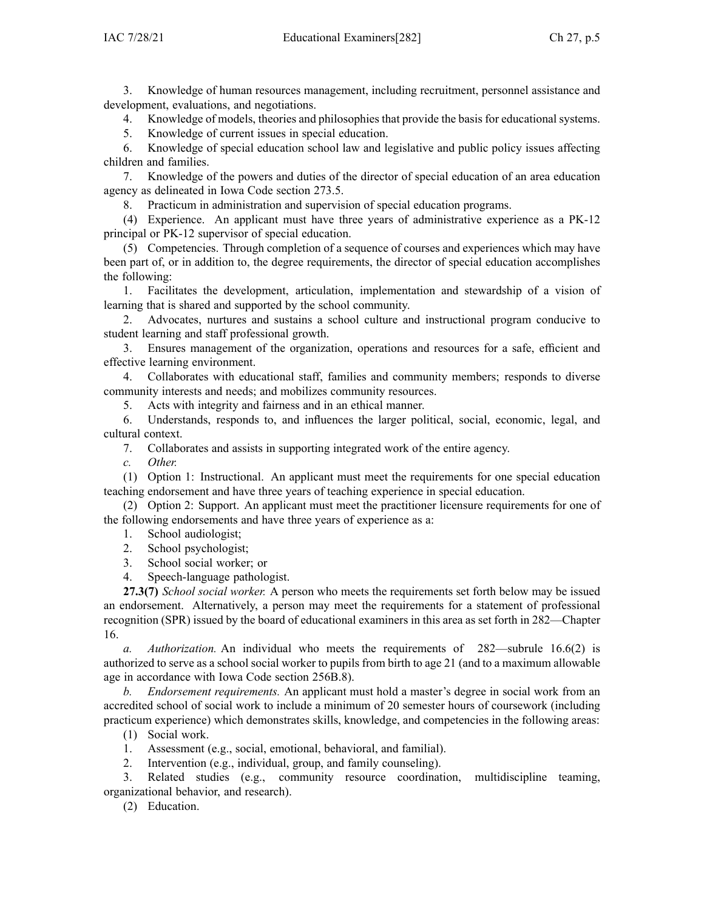3. Knowledge of human resources management, including recruitment, personnel assistance and development, evaluations, and negotiations.

4. Knowledge of models, theories and philosophies that provide the basis for educational systems.

5. Knowledge of current issues in special education.

6. Knowledge of special education school law and legislative and public policy issues affecting children and families.

7. Knowledge of the powers and duties of the director of special education of an area education agency as delineated in Iowa Code section [273.5](https://www.legis.iowa.gov/docs/ico/section/273.5.pdf).

8. Practicum in administration and supervision of special education programs.

(4) Experience. An applicant must have three years of administrative experience as <sup>a</sup> PK-12 principal or PK-12 supervisor of special education.

(5) Competencies. Through completion of <sup>a</sup> sequence of courses and experiences which may have been par<sup>t</sup> of, or in addition to, the degree requirements, the director of special education accomplishes the following:

1. Facilitates the development, articulation, implementation and stewardship of <sup>a</sup> vision of learning that is shared and supported by the school community.

2. Advocates, nurtures and sustains <sup>a</sup> school culture and instructional program conducive to student learning and staff professional growth.

3. Ensures managemen<sup>t</sup> of the organization, operations and resources for <sup>a</sup> safe, efficient and effective learning environment.

4. Collaborates with educational staff, families and community members; responds to diverse community interests and needs; and mobilizes community resources.

5. Acts with integrity and fairness and in an ethical manner.

6. Understands, responds to, and influences the larger political, social, economic, legal, and cultural context.

7. Collaborates and assists in supporting integrated work of the entire agency.

*c. Other.*

(1) Option 1: Instructional. An applicant must meet the requirements for one special education teaching endorsement and have three years of teaching experience in special education.

(2) Option 2: Support. An applicant must meet the practitioner licensure requirements for one of the following endorsements and have three years of experience as a:

- 1. School audiologist;
- 2. School psychologist;
- 3. School social worker; or
- 4. Speech-language pathologist.

**27.3(7)** *School social worker.* A person who meets the requirements set forth below may be issued an endorsement. Alternatively, <sup>a</sup> person may meet the requirements for <sup>a</sup> statement of professional recognition (SPR) issued by the board of educational examiners in this area as set forth in [282—Chapter](https://www.legis.iowa.gov/docs/iac/chapter/282.16.pdf) [16](https://www.legis.iowa.gov/docs/iac/chapter/282.16.pdf).

*a. Authorization.* An individual who meets the requirements of [282—subrule](https://www.legis.iowa.gov/docs/iac/rule/282.16.6.pdf) 16.6(2) is authorized to serve as <sup>a</sup> school social worker to pupils from birth to age 21 (and to <sup>a</sup> maximum allowable age in accordance with Iowa Code section [256B.8](https://www.legis.iowa.gov/docs/ico/section/256B.8.pdf)).

*b. Endorsement requirements.* An applicant must hold <sup>a</sup> master's degree in social work from an accredited school of social work to include <sup>a</sup> minimum of 20 semester hours of coursework (including practicum experience) which demonstrates skills, knowledge, and competencies in the following areas:

- (1) Social work.
- 1. Assessment (e.g., social, emotional, behavioral, and familial).
- 2. Intervention (e.g., individual, group, and family counseling).

3. Related studies (e.g., community resource coordination, multidiscipline teaming, organizational behavior, and research).

(2) Education.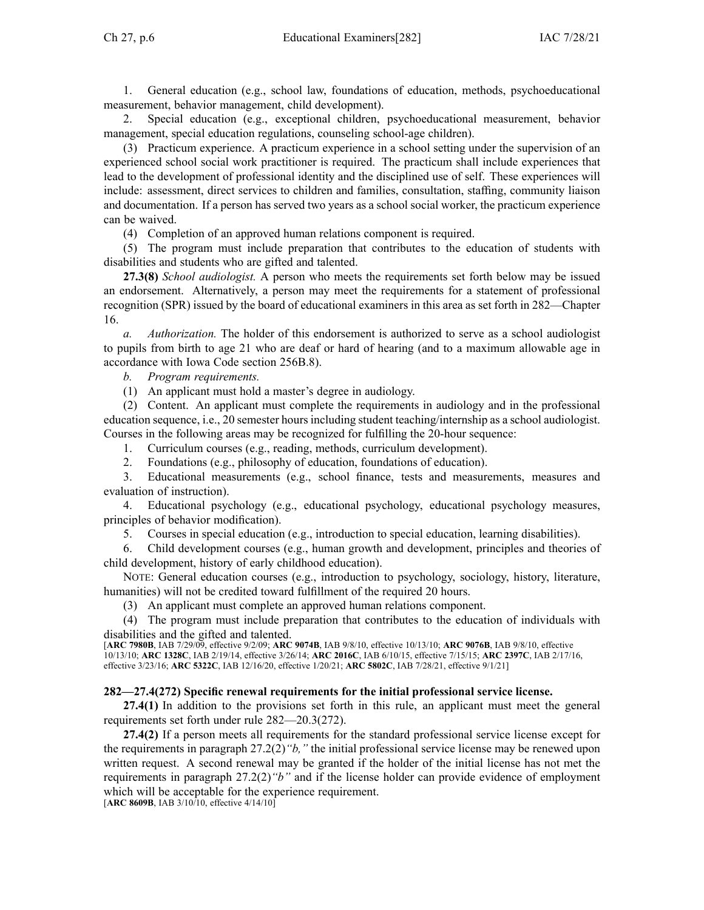1. General education (e.g., school law, foundations of education, methods, psychoeducational measurement, behavior management, child development).

2. Special education (e.g., exceptional children, psychoeducational measurement, behavior management, special education regulations, counseling school-age children).

(3) Practicum experience. A practicum experience in <sup>a</sup> school setting under the supervision of an experienced school social work practitioner is required. The practicum shall include experiences that lead to the development of professional identity and the disciplined use of self. These experiences will include: assessment, direct services to children and families, consultation, staffing, community liaison and documentation. If <sup>a</sup> person has served two years as <sup>a</sup> school social worker, the practicum experience can be waived.

(4) Completion of an approved human relations componen<sup>t</sup> is required.

(5) The program must include preparation that contributes to the education of students with disabilities and students who are gifted and talented.

**27.3(8)** *School audiologist.* A person who meets the requirements set forth below may be issued an endorsement. Alternatively, <sup>a</sup> person may meet the requirements for <sup>a</sup> statement of professional recognition (SPR) issued by the board of educational examiners in this area as set forth in [282—Chapter](https://www.legis.iowa.gov/docs/iac/chapter/282.16.pdf) [16](https://www.legis.iowa.gov/docs/iac/chapter/282.16.pdf).

*a. Authorization.* The holder of this endorsement is authorized to serve as <sup>a</sup> school audiologist to pupils from birth to age 21 who are deaf or hard of hearing (and to <sup>a</sup> maximum allowable age in accordance with Iowa Code section [256B.8](https://www.legis.iowa.gov/docs/ico/section/256B.8.pdf)).

*b. Program requirements.*

(1) An applicant must hold <sup>a</sup> master's degree in audiology.

(2) Content. An applicant must complete the requirements in audiology and in the professional education sequence, i.e., 20 semester hours including student teaching/internship as <sup>a</sup> school audiologist. Courses in the following areas may be recognized for fulfilling the 20-hour sequence:

1. Curriculum courses (e.g., reading, methods, curriculum development).

2. Foundations (e.g., philosophy of education, foundations of education).

3. Educational measurements (e.g., school finance, tests and measurements, measures and evaluation of instruction).

4. Educational psychology (e.g., educational psychology, educational psychology measures, principles of behavior modification).

5. Courses in special education (e.g., introduction to special education, learning disabilities).

6. Child development courses (e.g., human growth and development, principles and theories of child development, history of early childhood education).

NOTE: General education courses (e.g., introduction to psychology, sociology, history, literature, humanities) will not be credited toward fulfillment of the required 20 hours.

(3) An applicant must complete an approved human relations component.

(4) The program must include preparation that contributes to the education of individuals with disabilities and the gifted and talented.

[**ARC [7980B](https://www.legis.iowa.gov/docs/aco/arc/7980B.pdf)**, IAB 7/29/09, effective 9/2/09; **ARC [9074B](https://www.legis.iowa.gov/docs/aco/arc/9074B.pdf)**, IAB 9/8/10, effective 10/13/10; **ARC [9076B](https://www.legis.iowa.gov/docs/aco/arc/9076B.pdf)**, IAB 9/8/10, effective 10/13/10; **ARC [1328C](https://www.legis.iowa.gov/docs/aco/arc/1328C.pdf)**, IAB 2/19/14, effective 3/26/14; **ARC [2016C](https://www.legis.iowa.gov/docs/aco/arc/2016C.pdf)**, IAB 6/10/15, effective 7/15/15; **ARC [2397C](https://www.legis.iowa.gov/docs/aco/arc/2397C.pdf)**, IAB 2/17/16, effective 3/23/16; **ARC [5322C](https://www.legis.iowa.gov/docs/aco/arc/5322C.pdf)**, IAB 12/16/20, effective 1/20/21; **ARC [5802C](https://www.legis.iowa.gov/docs/aco/arc/5802C.pdf)**, IAB 7/28/21, effective 9/1/21]

# **282—27.4(272) Specific renewal requirements for the initial professional service license.**

**27.4(1)** In addition to the provisions set forth in this rule, an applicant must meet the general requirements set forth under rule [282—20.3](https://www.legis.iowa.gov/docs/iac/rule/282.20.3.pdf)(272).

**27.4(2)** If <sup>a</sup> person meets all requirements for the standard professional service license excep<sup>t</sup> for the requirements in paragraph [27.2\(2\)](https://www.legis.iowa.gov/docs/iac/rule/282.27.2.pdf)*"b,"* the initial professional service license may be renewed upon written request. A second renewal may be granted if the holder of the initial license has not met the requirements in paragraph [27.2\(2\)](https://www.legis.iowa.gov/docs/iac/rule/282.27.2.pdf)*"b"* and if the license holder can provide evidence of employment which will be acceptable for the experience requirement.

[**ARC [8609B](https://www.legis.iowa.gov/docs/aco/arc/8609B.pdf)**, IAB 3/10/10, effective 4/14/10]